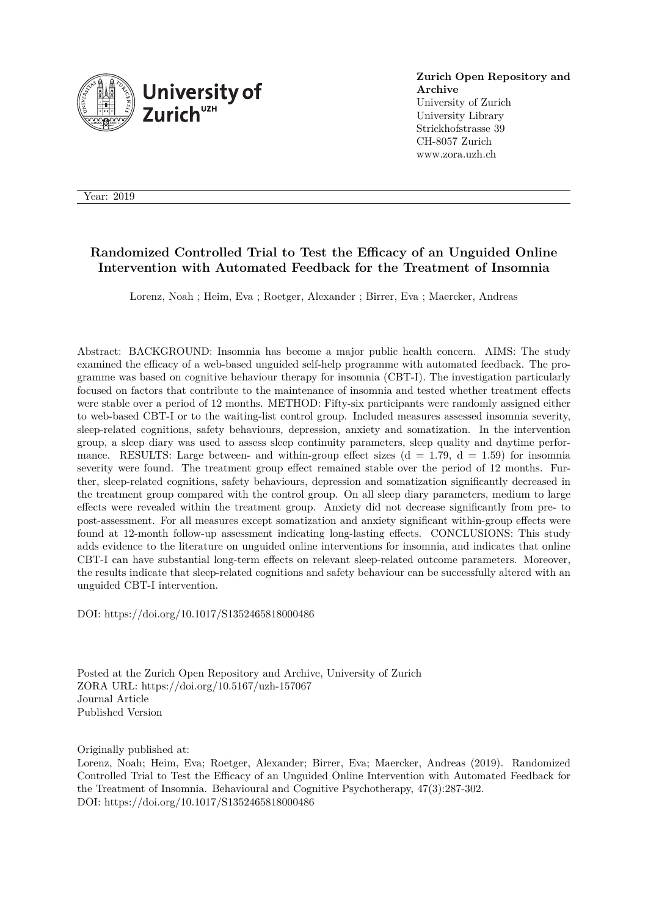

**Zurich Open Repository and Archive** University of Zurich University Library Strickhofstrasse 39 CH-8057 Zurich www.zora.uzh.ch

Year: 2019

## **Randomized Controlled Trial to Test the Efficacy of an Unguided Online Intervention with Automated Feedback for the Treatment of Insomnia**

Lorenz, Noah ; Heim, Eva ; Roetger, Alexander ; Birrer, Eva ; Maercker, Andreas

Abstract: BACKGROUND: Insomnia has become a major public health concern. AIMS: The study examined the efficacy of a web-based unguided self-help programme with automated feedback. The programme was based on cognitive behaviour therapy for insomnia (CBT-I). The investigation particularly focused on factors that contribute to the maintenance of insomnia and tested whether treatment effects were stable over a period of 12 months. METHOD: Fifty-six participants were randomly assigned either to web-based CBT-I or to the waiting-list control group. Included measures assessed insomnia severity, sleep-related cognitions, safety behaviours, depression, anxiety and somatization. In the intervention group, a sleep diary was used to assess sleep continuity parameters, sleep quality and daytime performance. RESULTS: Large between- and within-group effect sizes  $(d = 1.79, d = 1.59)$  for insomnia severity were found. The treatment group effect remained stable over the period of 12 months. Further, sleep-related cognitions, safety behaviours, depression and somatization significantly decreased in the treatment group compared with the control group. On all sleep diary parameters, medium to large effects were revealed within the treatment group. Anxiety did not decrease significantly from pre- to post-assessment. For all measures except somatization and anxiety significant within-group effects were found at 12-month follow-up assessment indicating long-lasting effects. CONCLUSIONS: This study adds evidence to the literature on unguided online interventions for insomnia, and indicates that online CBT-I can have substantial long-term effects on relevant sleep-related outcome parameters. Moreover, the results indicate that sleep-related cognitions and safety behaviour can be successfully altered with an unguided CBT-I intervention.

DOI: https://doi.org/10.1017/S1352465818000486

Posted at the Zurich Open Repository and Archive, University of Zurich ZORA URL: https://doi.org/10.5167/uzh-157067 Journal Article Published Version

Originally published at:

Lorenz, Noah; Heim, Eva; Roetger, Alexander; Birrer, Eva; Maercker, Andreas (2019). Randomized Controlled Trial to Test the Efficacy of an Unguided Online Intervention with Automated Feedback for the Treatment of Insomnia. Behavioural and Cognitive Psychotherapy, 47(3):287-302. DOI: https://doi.org/10.1017/S1352465818000486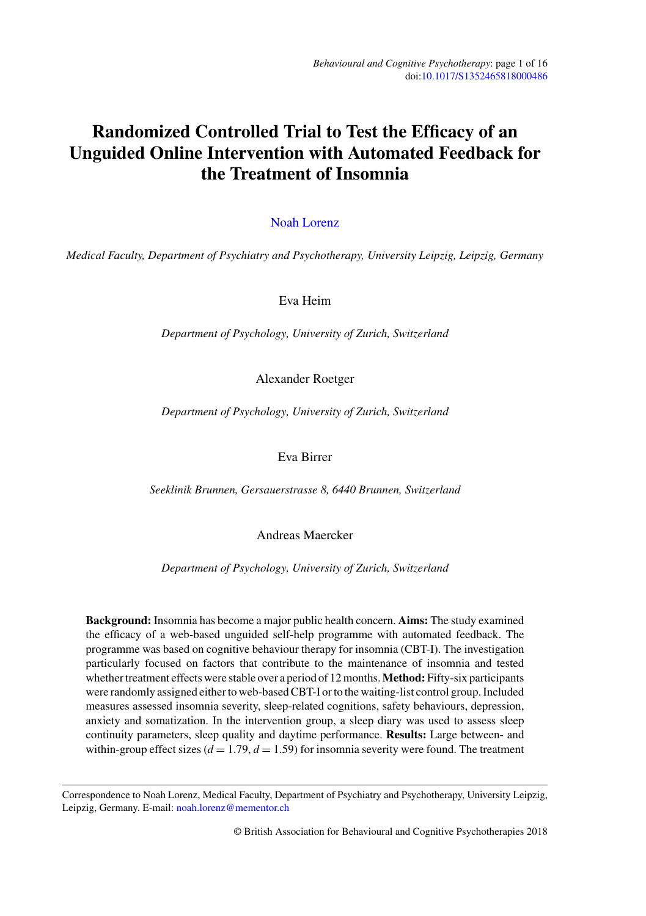# **Randomized Controlled Trial to Test the Efficacy of an Unguided Online Intervention with Automated Feedback for the Treatment of Insomnia**

## Noah Lorenz

*Medical Faculty, Department of Psychiatry and Psychotherapy, University Leipzig, Leipzig, Germany*

Eva Heim

*Department of Psychology, University of Zurich, Switzerland*

Alexander Roetger

*Department of Psychology, University of Zurich, Switzerland*

Eva Birrer

*Seeklinik Brunnen, Gersauerstrasse 8, 6440 Brunnen, Switzerland*

Andreas Maercker

*Department of Psychology, University of Zurich, Switzerland*

**Background:** Insomnia has become a major public health concern. **Aims:** The study examined the efficacy of a web-based unguided self-help programme with automated feedback. The programme was based on cognitive behaviour therapy for insomnia (CBT-I). The investigation particularly focused on factors that contribute to the maintenance of insomnia and tested whether treatment effects were stable over a period of 12 months.**Method:** Fifty-six participants were randomly assigned either to web-based CBT-I or to the waiting-list control group. Included measures assessed insomnia severity, sleep-related cognitions, safety behaviours, depression, anxiety and somatization. In the intervention group, a sleep diary was used to assess sleep continuity parameters, sleep quality and daytime performance. **Results:** Large between- and within-group effect sizes  $(d = 1.79, d = 1.59)$  for insomnia severity were found. The treatment

© British Association for Behavioural and Cognitive Psychotherapies 2018

Correspondence to Noah Lorenz, Medical Faculty, Department of Psychiatry and Psychotherapy, University Leipzig, Leipzig, Germany. E-mail: noah.lorenz@mementor.ch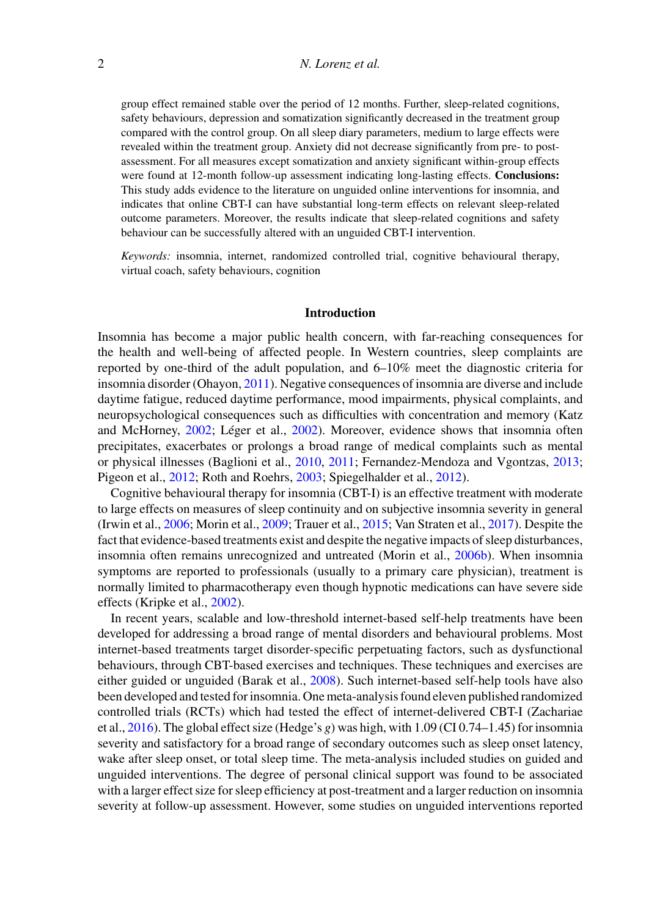group effect remained stable over the period of 12 months. Further, sleep-related cognitions, safety behaviours, depression and somatization significantly decreased in the treatment group compared with the control group. On all sleep diary parameters, medium to large effects were revealed within the treatment group. Anxiety did not decrease significantly from pre- to postassessment. For all measures except somatization and anxiety significant within-group effects were found at 12-month follow-up assessment indicating long-lasting effects. **Conclusions:** This study adds evidence to the literature on unguided online interventions for insomnia, and indicates that online CBT-I can have substantial long-term effects on relevant sleep-related outcome parameters. Moreover, the results indicate that sleep-related cognitions and safety behaviour can be successfully altered with an unguided CBT-I intervention.

*Keywords:* insomnia, internet, randomized controlled trial, cognitive behavioural therapy, virtual coach, safety behaviours, cognition

## **Introduction**

Insomnia has become a major public health concern, with far-reaching consequences for the health and well-being of affected people. In Western countries, sleep complaints are reported by one-third of the adult population, and 6–10% meet the diagnostic criteria for insomnia disorder (Ohayon, 2011). Negative consequences of insomnia are diverse and include daytime fatigue, reduced daytime performance, mood impairments, physical complaints, and neuropsychological consequences such as difficulties with concentration and memory (Katz and McHorney, 2002; Léger et al., 2002). Moreover, evidence shows that insomnia often precipitates, exacerbates or prolongs a broad range of medical complaints such as mental or physical illnesses (Baglioni et al., 2010, 2011; Fernandez-Mendoza and Vgontzas, 2013; Pigeon et al., 2012; Roth and Roehrs, 2003; Spiegelhalder et al., 2012).

Cognitive behavioural therapy for insomnia (CBT-I) is an effective treatment with moderate to large effects on measures of sleep continuity and on subjective insomnia severity in general (Irwin et al., 2006; Morin et al., 2009; Trauer et al., 2015; Van Straten et al., 2017). Despite the fact that evidence-based treatments exist and despite the negative impacts of sleep disturbances, insomnia often remains unrecognized and untreated (Morin et al., 2006b). When insomnia symptoms are reported to professionals (usually to a primary care physician), treatment is normally limited to pharmacotherapy even though hypnotic medications can have severe side effects (Kripke et al., 2002).

In recent years, scalable and low-threshold internet-based self-help treatments have been developed for addressing a broad range of mental disorders and behavioural problems. Most internet-based treatments target disorder-specific perpetuating factors, such as dysfunctional behaviours, through CBT-based exercises and techniques. These techniques and exercises are either guided or unguided (Barak et al., 2008). Such internet-based self-help tools have also been developed and tested for insomnia. One meta-analysis found eleven published randomized controlled trials (RCTs) which had tested the effect of internet-delivered CBT-I (Zachariae et al., 2016). The global effect size (Hedge's *g*) was high, with 1.09 (CI 0.74–1.45) for insomnia severity and satisfactory for a broad range of secondary outcomes such as sleep onset latency, wake after sleep onset, or total sleep time. The meta-analysis included studies on guided and unguided interventions. The degree of personal clinical support was found to be associated with a larger effect size for sleep efficiency at post-treatment and a larger reduction on insomnia severity at follow-up assessment. However, some studies on unguided interventions reported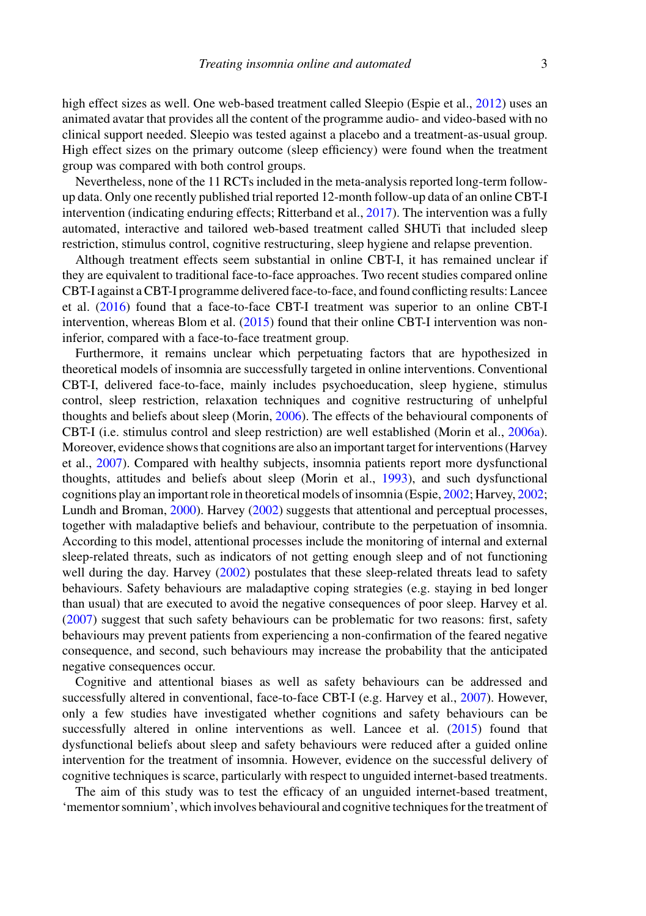high effect sizes as well. One web-based treatment called Sleepio (Espie et al., 2012) uses an animated avatar that provides all the content of the programme audio- and video-based with no clinical support needed. Sleepio was tested against a placebo and a treatment-as-usual group. High effect sizes on the primary outcome (sleep efficiency) were found when the treatment group was compared with both control groups.

Nevertheless, none of the 11 RCTs included in the meta-analysis reported long-term followup data. Only one recently published trial reported 12-month follow-up data of an online CBT-I intervention (indicating enduring effects; Ritterband et al., 2017). The intervention was a fully automated, interactive and tailored web-based treatment called SHUTi that included sleep restriction, stimulus control, cognitive restructuring, sleep hygiene and relapse prevention.

Although treatment effects seem substantial in online CBT-I, it has remained unclear if they are equivalent to traditional face-to-face approaches. Two recent studies compared online CBT-I against a CBT-I programme delivered face-to-face, and found conflicting results: Lancee et al. (2016) found that a face-to-face CBT-I treatment was superior to an online CBT-I intervention, whereas Blom et al. (2015) found that their online CBT-I intervention was noninferior, compared with a face-to-face treatment group.

Furthermore, it remains unclear which perpetuating factors that are hypothesized in theoretical models of insomnia are successfully targeted in online interventions. Conventional CBT-I, delivered face-to-face, mainly includes psychoeducation, sleep hygiene, stimulus control, sleep restriction, relaxation techniques and cognitive restructuring of unhelpful thoughts and beliefs about sleep (Morin, 2006). The effects of the behavioural components of CBT-I (i.e. stimulus control and sleep restriction) are well established (Morin et al., 2006a). Moreover, evidence shows that cognitions are also an important target for interventions (Harvey et al., 2007). Compared with healthy subjects, insomnia patients report more dysfunctional thoughts, attitudes and beliefs about sleep (Morin et al., 1993), and such dysfunctional cognitions play an important role in theoretical models of insomnia (Espie, 2002; Harvey, 2002; Lundh and Broman, 2000). Harvey (2002) suggests that attentional and perceptual processes, together with maladaptive beliefs and behaviour, contribute to the perpetuation of insomnia. According to this model, attentional processes include the monitoring of internal and external sleep-related threats, such as indicators of not getting enough sleep and of not functioning well during the day. Harvey (2002) postulates that these sleep-related threats lead to safety behaviours. Safety behaviours are maladaptive coping strategies (e.g. staying in bed longer than usual) that are executed to avoid the negative consequences of poor sleep. Harvey et al. (2007) suggest that such safety behaviours can be problematic for two reasons: first, safety behaviours may prevent patients from experiencing a non-confirmation of the feared negative consequence, and second, such behaviours may increase the probability that the anticipated negative consequences occur.

Cognitive and attentional biases as well as safety behaviours can be addressed and successfully altered in conventional, face-to-face CBT-I (e.g. Harvey et al., 2007). However, only a few studies have investigated whether cognitions and safety behaviours can be successfully altered in online interventions as well. Lancee et al. (2015) found that dysfunctional beliefs about sleep and safety behaviours were reduced after a guided online intervention for the treatment of insomnia. However, evidence on the successful delivery of cognitive techniques is scarce, particularly with respect to unguided internet-based treatments.

The aim of this study was to test the efficacy of an unguided internet-based treatment, 'mementor somnium', which involves behavioural and cognitive techniques for the treatment of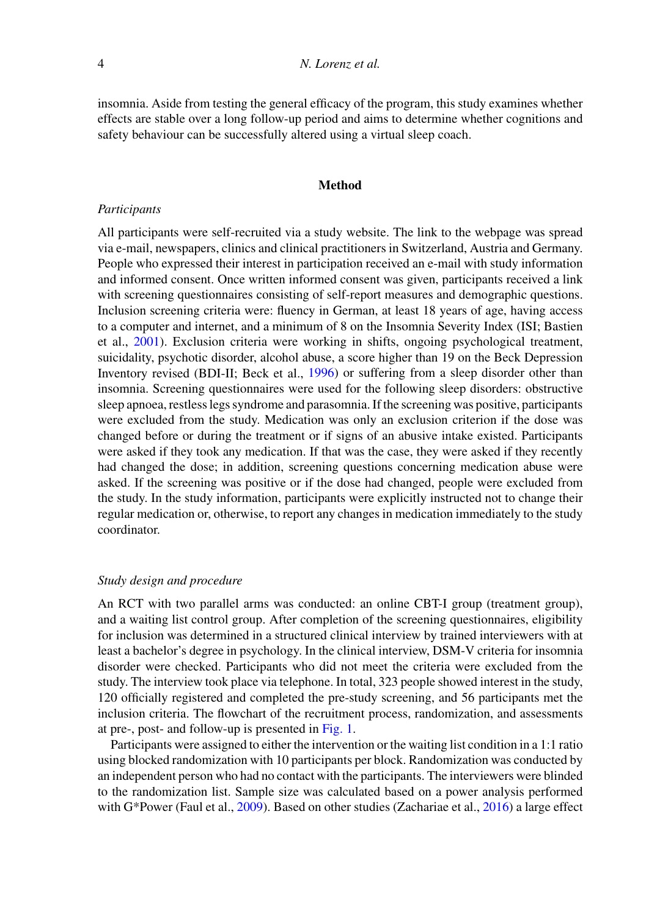insomnia. Aside from testing the general efficacy of the program, this study examines whether effects are stable over a long follow-up period and aims to determine whether cognitions and safety behaviour can be successfully altered using a virtual sleep coach.

## **Method**

## *Participants*

All participants were self-recruited via a study website. The link to the webpage was spread via e-mail, newspapers, clinics and clinical practitioners in Switzerland, Austria and Germany. People who expressed their interest in participation received an e-mail with study information and informed consent. Once written informed consent was given, participants received a link with screening questionnaires consisting of self-report measures and demographic questions. Inclusion screening criteria were: fluency in German, at least 18 years of age, having access to a computer and internet, and a minimum of 8 on the Insomnia Severity Index (ISI; Bastien et al., 2001). Exclusion criteria were working in shifts, ongoing psychological treatment, suicidality, psychotic disorder, alcohol abuse, a score higher than 19 on the Beck Depression Inventory revised (BDI-II; Beck et al., 1996) or suffering from a sleep disorder other than insomnia. Screening questionnaires were used for the following sleep disorders: obstructive sleep apnoea, restless legs syndrome and parasomnia. If the screening was positive, participants were excluded from the study. Medication was only an exclusion criterion if the dose was changed before or during the treatment or if signs of an abusive intake existed. Participants were asked if they took any medication. If that was the case, they were asked if they recently had changed the dose; in addition, screening questions concerning medication abuse were asked. If the screening was positive or if the dose had changed, people were excluded from the study. In the study information, participants were explicitly instructed not to change their regular medication or, otherwise, to report any changes in medication immediately to the study coordinator.

## *Study design and procedure*

An RCT with two parallel arms was conducted: an online CBT-I group (treatment group), and a waiting list control group. After completion of the screening questionnaires, eligibility for inclusion was determined in a structured clinical interview by trained interviewers with at least a bachelor's degree in psychology. In the clinical interview, DSM-V criteria for insomnia disorder were checked. Participants who did not meet the criteria were excluded from the study. The interview took place via telephone. In total, 323 people showed interest in the study, 120 officially registered and completed the pre-study screening, and 56 participants met the inclusion criteria. The flowchart of the recruitment process, randomization, and assessments at pre-, post- and follow-up is presented in Fig. 1.

Participants were assigned to either the intervention or the waiting list condition in a 1:1 ratio using blocked randomization with 10 participants per block. Randomization was conducted by an independent person who had no contact with the participants. The interviewers were blinded to the randomization list. Sample size was calculated based on a power analysis performed with G\*Power (Faul et al., 2009). Based on other studies (Zachariae et al., 2016) a large effect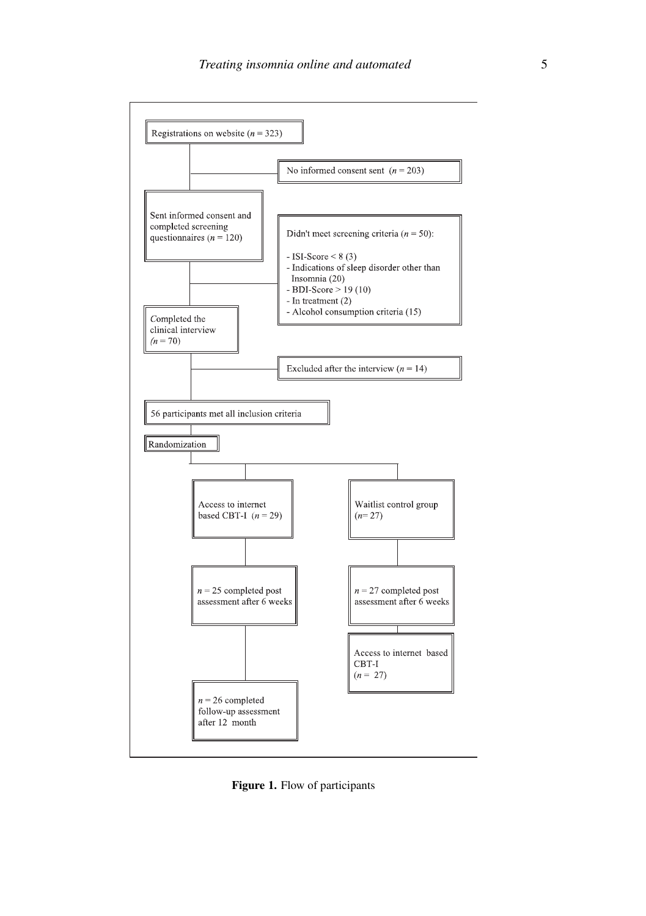

**Figure 1.** Flow of participants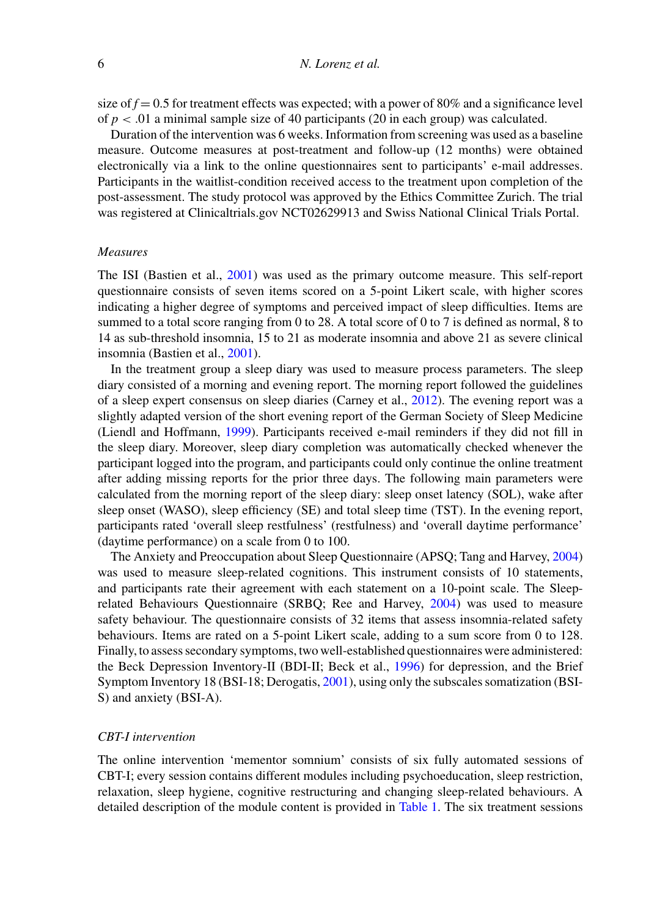size of  $f = 0.5$  for treatment effects was expected; with a power of 80% and a significance level of  $p < 0.01$  a minimal sample size of 40 participants (20 in each group) was calculated.

Duration of the intervention was 6 weeks. Information from screening was used as a baseline measure. Outcome measures at post-treatment and follow-up (12 months) were obtained electronically via a link to the online questionnaires sent to participants' e-mail addresses. Participants in the waitlist-condition received access to the treatment upon completion of the post-assessment. The study protocol was approved by the Ethics Committee Zurich. The trial was registered at Clinicaltrials.gov NCT02629913 and Swiss National Clinical Trials Portal.

## *Measures*

The ISI (Bastien et al., 2001) was used as the primary outcome measure. This self-report questionnaire consists of seven items scored on a 5-point Likert scale, with higher scores indicating a higher degree of symptoms and perceived impact of sleep difficulties. Items are summed to a total score ranging from 0 to 28. A total score of 0 to 7 is defined as normal, 8 to 14 as sub-threshold insomnia, 15 to 21 as moderate insomnia and above 21 as severe clinical insomnia (Bastien et al., 2001).

In the treatment group a sleep diary was used to measure process parameters. The sleep diary consisted of a morning and evening report. The morning report followed the guidelines of a sleep expert consensus on sleep diaries (Carney et al., 2012). The evening report was a slightly adapted version of the short evening report of the German Society of Sleep Medicine (Liendl and Hoffmann, 1999). Participants received e-mail reminders if they did not fill in the sleep diary. Moreover, sleep diary completion was automatically checked whenever the participant logged into the program, and participants could only continue the online treatment after adding missing reports for the prior three days. The following main parameters were calculated from the morning report of the sleep diary: sleep onset latency (SOL), wake after sleep onset (WASO), sleep efficiency (SE) and total sleep time (TST). In the evening report, participants rated 'overall sleep restfulness' (restfulness) and 'overall daytime performance' (daytime performance) on a scale from 0 to 100.

The Anxiety and Preoccupation about Sleep Questionnaire (APSQ; Tang and Harvey, 2004) was used to measure sleep-related cognitions. This instrument consists of 10 statements, and participants rate their agreement with each statement on a 10-point scale. The Sleeprelated Behaviours Questionnaire (SRBQ; Ree and Harvey, 2004) was used to measure safety behaviour. The questionnaire consists of 32 items that assess insomnia-related safety behaviours. Items are rated on a 5-point Likert scale, adding to a sum score from 0 to 128. Finally, to assess secondary symptoms, two well-established questionnaires were administered: the Beck Depression Inventory-II (BDI-II; Beck et al., 1996) for depression, and the Brief Symptom Inventory 18 (BSI-18; Derogatis, 2001), using only the subscales somatization (BSI-S) and anxiety (BSI-A).

## *CBT-I intervention*

The online intervention 'mementor somnium' consists of six fully automated sessions of CBT-I; every session contains different modules including psychoeducation, sleep restriction, relaxation, sleep hygiene, cognitive restructuring and changing sleep-related behaviours. A detailed description of the module content is provided in Table 1. The six treatment sessions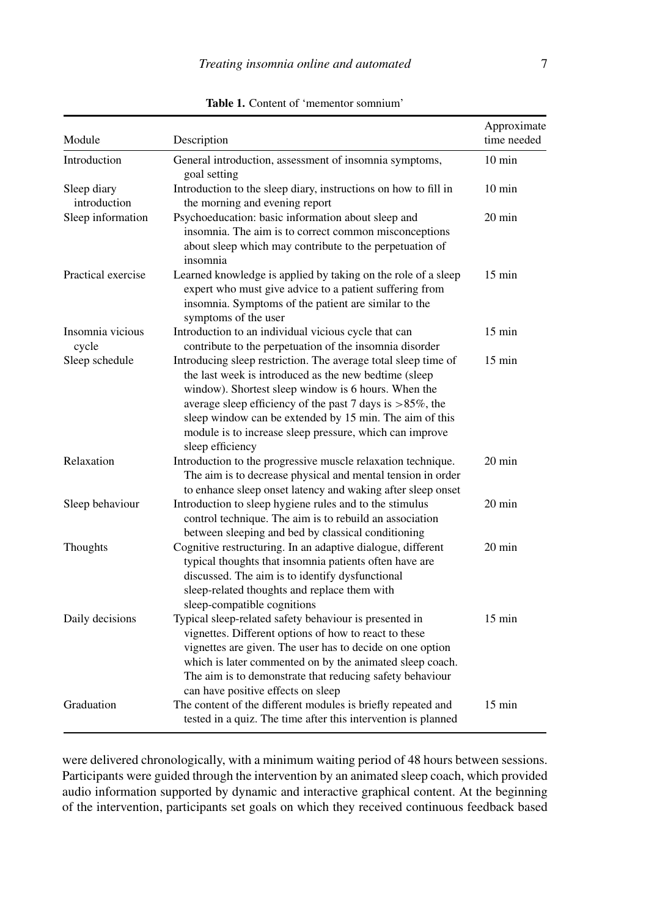| Module                      | Description                                                                                                                                                                                                                                                                                                                                                                              | Approximate<br>time needed |
|-----------------------------|------------------------------------------------------------------------------------------------------------------------------------------------------------------------------------------------------------------------------------------------------------------------------------------------------------------------------------------------------------------------------------------|----------------------------|
| Introduction                | General introduction, assessment of insomnia symptoms,<br>goal setting                                                                                                                                                                                                                                                                                                                   | $10 \text{ min}$           |
| Sleep diary<br>introduction | Introduction to the sleep diary, instructions on how to fill in<br>the morning and evening report                                                                                                                                                                                                                                                                                        | $10 \text{ min}$           |
| Sleep information           | Psychoeducation: basic information about sleep and<br>insomnia. The aim is to correct common misconceptions<br>about sleep which may contribute to the perpetuation of<br>insomnia                                                                                                                                                                                                       | $20 \text{ min}$           |
| Practical exercise          | Learned knowledge is applied by taking on the role of a sleep<br>expert who must give advice to a patient suffering from<br>insomnia. Symptoms of the patient are similar to the<br>symptoms of the user                                                                                                                                                                                 | $15 \text{ min}$           |
| Insomnia vicious<br>cycle   | Introduction to an individual vicious cycle that can<br>contribute to the perpetuation of the insomnia disorder                                                                                                                                                                                                                                                                          | $15 \text{ min}$           |
| Sleep schedule              | Introducing sleep restriction. The average total sleep time of<br>the last week is introduced as the new bedtime (sleep<br>window). Shortest sleep window is 6 hours. When the<br>average sleep efficiency of the past 7 days is $>85\%$ , the<br>sleep window can be extended by 15 min. The aim of this<br>module is to increase sleep pressure, which can improve<br>sleep efficiency | $15 \text{ min}$           |
| Relaxation                  | Introduction to the progressive muscle relaxation technique.<br>The aim is to decrease physical and mental tension in order<br>to enhance sleep onset latency and waking after sleep onset                                                                                                                                                                                               | $20 \text{ min}$           |
| Sleep behaviour             | Introduction to sleep hygiene rules and to the stimulus<br>control technique. The aim is to rebuild an association<br>between sleeping and bed by classical conditioning                                                                                                                                                                                                                 | $20 \text{ min}$           |
| Thoughts                    | Cognitive restructuring. In an adaptive dialogue, different<br>typical thoughts that insomnia patients often have are<br>discussed. The aim is to identify dysfunctional<br>sleep-related thoughts and replace them with<br>sleep-compatible cognitions                                                                                                                                  | $20 \text{ min}$           |
| Daily decisions             | Typical sleep-related safety behaviour is presented in<br>vignettes. Different options of how to react to these<br>vignettes are given. The user has to decide on one option<br>which is later commented on by the animated sleep coach.<br>The aim is to demonstrate that reducing safety behaviour<br>can have positive effects on sleep                                               | $15 \text{ min}$           |
| Graduation                  | The content of the different modules is briefly repeated and<br>tested in a quiz. The time after this intervention is planned                                                                                                                                                                                                                                                            | $15 \text{ min}$           |

**Table 1.** Content of 'mementor somnium'

were delivered chronologically, with a minimum waiting period of 48 hours between sessions. Participants were guided through the intervention by an animated sleep coach, which provided audio information supported by dynamic and interactive graphical content. At the beginning of the intervention, participants set goals on which they received continuous feedback based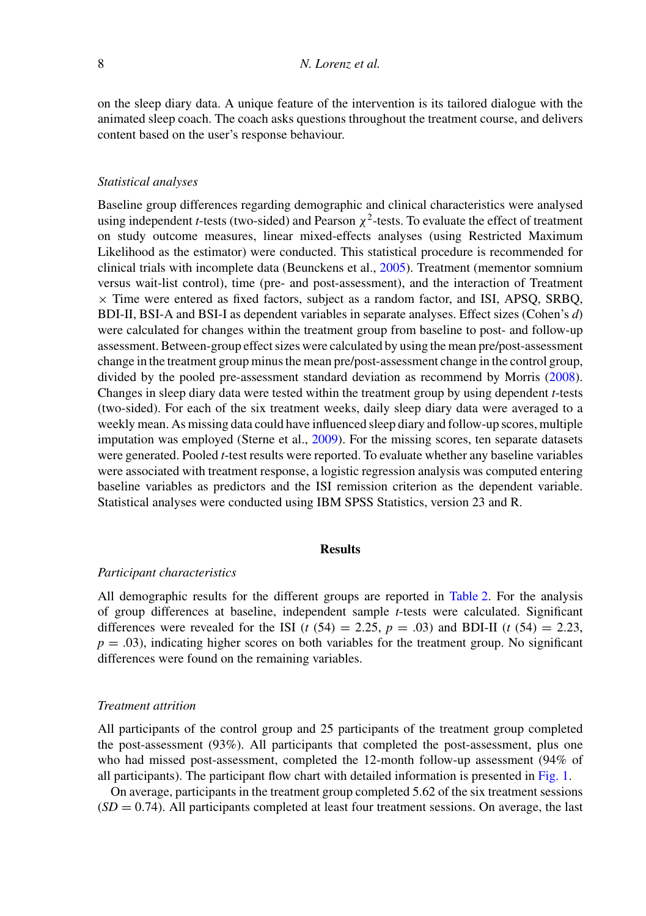on the sleep diary data. A unique feature of the intervention is its tailored dialogue with the animated sleep coach. The coach asks questions throughout the treatment course, and delivers content based on the user's response behaviour.

## *Statistical analyses*

Baseline group differences regarding demographic and clinical characteristics were analysed using independent *t*-tests (two-sided) and Pearson  $\chi^2$ -tests. To evaluate the effect of treatment on study outcome measures, linear mixed-effects analyses (using Restricted Maximum Likelihood as the estimator) were conducted. This statistical procedure is recommended for clinical trials with incomplete data (Beunckens et al., 2005). Treatment (mementor somnium versus wait-list control), time (pre- and post-assessment), and the interaction of Treatment  $\times$  Time were entered as fixed factors, subject as a random factor, and ISI, APSQ, SRBQ, BDI-II, BSI-A and BSI-I as dependent variables in separate analyses. Effect sizes (Cohen's *d*) were calculated for changes within the treatment group from baseline to post- and follow-up assessment. Between-group effect sizes were calculated by using the mean pre/post-assessment change in the treatment group minus the mean pre/post-assessment change in the control group, divided by the pooled pre-assessment standard deviation as recommend by Morris (2008). Changes in sleep diary data were tested within the treatment group by using dependent *t*-tests (two-sided). For each of the six treatment weeks, daily sleep diary data were averaged to a weekly mean. As missing data could have influenced sleep diary and follow-up scores, multiple imputation was employed (Sterne et al., 2009). For the missing scores, ten separate datasets were generated. Pooled *t*-test results were reported. To evaluate whether any baseline variables were associated with treatment response, a logistic regression analysis was computed entering baseline variables as predictors and the ISI remission criterion as the dependent variable. Statistical analyses were conducted using IBM SPSS Statistics, version 23 and R.

## **Results**

#### *Participant characteristics*

All demographic results for the different groups are reported in Table 2. For the analysis of group differences at baseline, independent sample *t*-tests were calculated. Significant differences were revealed for the ISI (*t* (54) = 2.25, *p* = .03) and BDI-II (*t* (54) = 2.23,  $p = .03$ ), indicating higher scores on both variables for the treatment group. No significant differences were found on the remaining variables.

## *Treatment attrition*

All participants of the control group and 25 participants of the treatment group completed the post-assessment (93%). All participants that completed the post-assessment, plus one who had missed post-assessment, completed the 12-month follow-up assessment (94% of all participants). The participant flow chart with detailed information is presented in Fig. 1.

On average, participants in the treatment group completed 5.62 of the six treatment sessions  $(SD = 0.74)$ . All participants completed at least four treatment sessions. On average, the last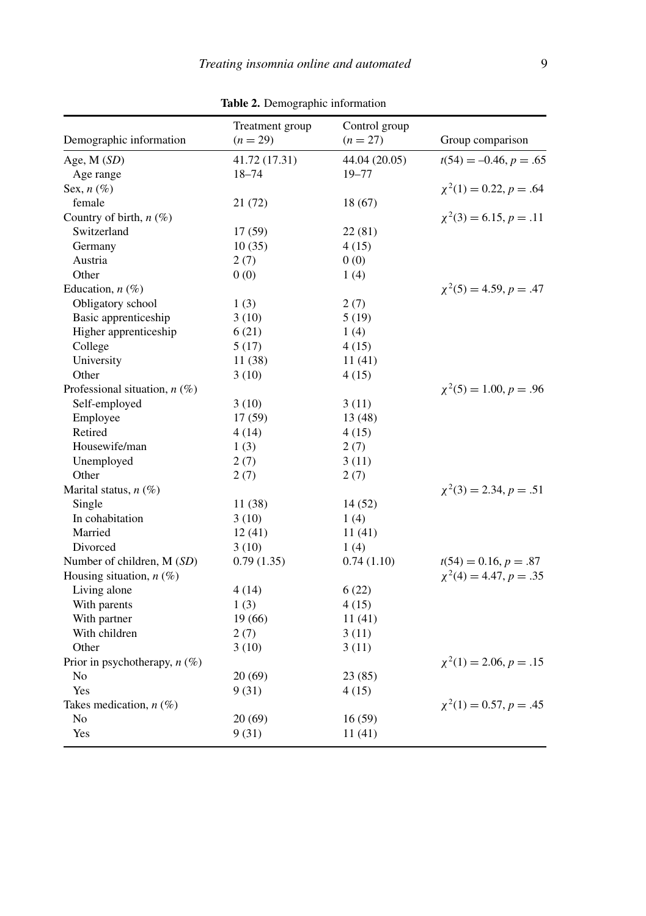| Demographic information         | Treatment group<br>$(n = 29)$ | Control group<br>$(n = 27)$ | Group comparison            |
|---------------------------------|-------------------------------|-----------------------------|-----------------------------|
| Age, M (SD)                     | 41.72 (17.31)                 | 44.04 (20.05)               | $t(54) = -0.46, p = .65$    |
| Age range                       | $18 - 74$                     | $19 - 77$                   |                             |
| Sex, $n$ (%)                    |                               |                             | $\chi^2(1) = 0.22, p = .64$ |
| female                          | 21 (72)                       | 18 (67)                     |                             |
| Country of birth, $n$ (%)       |                               |                             | $\chi^2(3) = 6.15, p = .11$ |
| Switzerland                     | 17(59)                        | 22(81)                      |                             |
| Germany                         | 10(35)                        | 4(15)                       |                             |
| Austria                         | 2(7)                          | 0(0)                        |                             |
| Other                           | 0(0)                          | 1(4)                        |                             |
| Education, $n$ (%)              |                               |                             | $\chi^2(5) = 4.59, p = .47$ |
| Obligatory school               | 1(3)                          | 2(7)                        |                             |
| Basic apprenticeship            | 3(10)                         | 5(19)                       |                             |
| Higher apprenticeship           | 6(21)                         | 1(4)                        |                             |
| College                         | 5(17)                         | 4(15)                       |                             |
| University                      | 11 (38)                       | 11(41)                      |                             |
| Other                           | 3(10)                         | 4(15)                       |                             |
| Professional situation, $n$ (%) |                               |                             | $\chi^2(5) = 1.00, p = .96$ |
| Self-employed                   | 3(10)                         | 3(11)                       |                             |
| Employee                        | 17 (59)                       | 13 (48)                     |                             |
| Retired                         | 4(14)                         | 4(15)                       |                             |
| Housewife/man                   | 1(3)                          | 2(7)                        |                             |
| Unemployed                      | 2(7)                          | 3(11)                       |                             |
| Other                           | 2(7)                          | 2(7)                        |                             |
| Marital status, $n$ (%)         |                               |                             | $\chi^2(3) = 2.34, p = .51$ |
| Single                          | 11 (38)                       | 14 (52)                     |                             |
| In cohabitation                 | 3(10)                         | 1(4)                        |                             |
| Married                         | 12(41)                        | 11(41)                      |                             |
| Divorced                        | 3(10)                         | 1(4)                        |                             |
| Number of children, M (SD)      | 0.79(1.35)                    | 0.74(1.10)                  | $t(54) = 0.16, p = .87$     |
| Housing situation, $n$ (%)      |                               |                             | $\chi^2(4) = 4.47, p = .35$ |
| Living alone                    | 4(14)                         | 6(22)                       |                             |
| With parents                    | 1(3)                          | 4(15)                       |                             |
| With partner                    | 19(66)                        | 11(41)                      |                             |
| With children                   | 2(7)                          | 3(11)                       |                             |
| Other                           | 3(10)                         | 3(11)                       |                             |
| Prior in psychotherapy, $n$ (%) |                               |                             | $\chi^2(1) = 2.06, p = .15$ |
| No                              | 20(69)                        | 23(85)                      |                             |
| Yes                             | 9(31)                         | 4(15)                       |                             |
| Takes medication, $n$ (%)       |                               |                             | $\chi^2(1) = 0.57, p = .45$ |
| No                              | 20(69)                        | 16(59)                      |                             |
| Yes                             | 9(31)                         | 11(41)                      |                             |

**Table 2.** Demographic information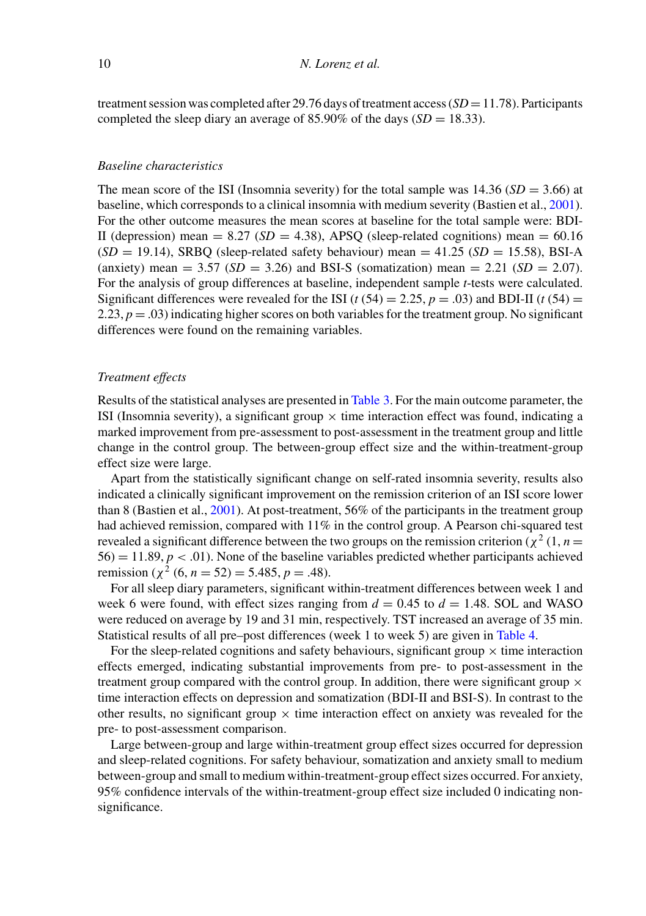treatment session was completed after 29.76 days of treatment access (*SD*=11.78). Participants completed the sleep diary an average of 85.90% of the days  $(SD = 18.33)$ .

## *Baseline characteristics*

The mean score of the ISI (Insomnia severity) for the total sample was  $14.36$  (*SD* = 3.66) at baseline, which corresponds to a clinical insomnia with medium severity (Bastien et al., 2001). For the other outcome measures the mean scores at baseline for the total sample were: BDI-II (depression) mean =  $8.27$  (*SD* = 4.38), APSQ (sleep-related cognitions) mean =  $60.16$  $(SD = 19.14)$ , SRBQ (sleep-related safety behaviour) mean = 41.25  $(SD = 15.58)$ , BSI-A (anxiety) mean =  $3.57$  (*SD* =  $3.26$ ) and BSI-S (somatization) mean =  $2.21$  (*SD* =  $2.07$ ). For the analysis of group differences at baseline, independent sample *t*-tests were calculated. Significant differences were revealed for the ISI ( $t$  (54) = 2.25,  $p = .03$ ) and BDI-II ( $t$  (54) = 2.23,  $p = .03$ ) indicating higher scores on both variables for the treatment group. No significant differences were found on the remaining variables.

## *Treatment effects*

Results of the statistical analyses are presented in Table 3. For the main outcome parameter, the ISI (Insomnia severity), a significant group  $\times$  time interaction effect was found, indicating a marked improvement from pre-assessment to post-assessment in the treatment group and little change in the control group. The between-group effect size and the within-treatment-group effect size were large.

Apart from the statistically significant change on self-rated insomnia severity, results also indicated a clinically significant improvement on the remission criterion of an ISI score lower than 8 (Bastien et al., 2001). At post-treatment, 56% of the participants in the treatment group had achieved remission, compared with 11% in the control group. A Pearson chi-squared test revealed a significant difference between the two groups on the remission criterion ( $\chi^2$  (1, *n* =  $56$ ) = 11.89,  $p < .01$ ). None of the baseline variables predicted whether participants achieved remission ( $\chi^2$  (6,  $n = 52$ ) = 5.485,  $p = .48$ ).

For all sleep diary parameters, significant within-treatment differences between week 1 and week 6 were found, with effect sizes ranging from  $d = 0.45$  to  $d = 1.48$ . SOL and WASO were reduced on average by 19 and 31 min, respectively. TST increased an average of 35 min. Statistical results of all pre–post differences (week 1 to week 5) are given in Table 4.

For the sleep-related cognitions and safety behaviours, significant group  $\times$  time interaction effects emerged, indicating substantial improvements from pre- to post-assessment in the treatment group compared with the control group. In addition, there were significant group  $\times$ time interaction effects on depression and somatization (BDI-II and BSI-S). In contrast to the other results, no significant group  $\times$  time interaction effect on anxiety was revealed for the pre- to post-assessment comparison.

Large between-group and large within-treatment group effect sizes occurred for depression and sleep-related cognitions. For safety behaviour, somatization and anxiety small to medium between-group and small to medium within-treatment-group effect sizes occurred. For anxiety, 95% confidence intervals of the within-treatment-group effect size included 0 indicating nonsignificance.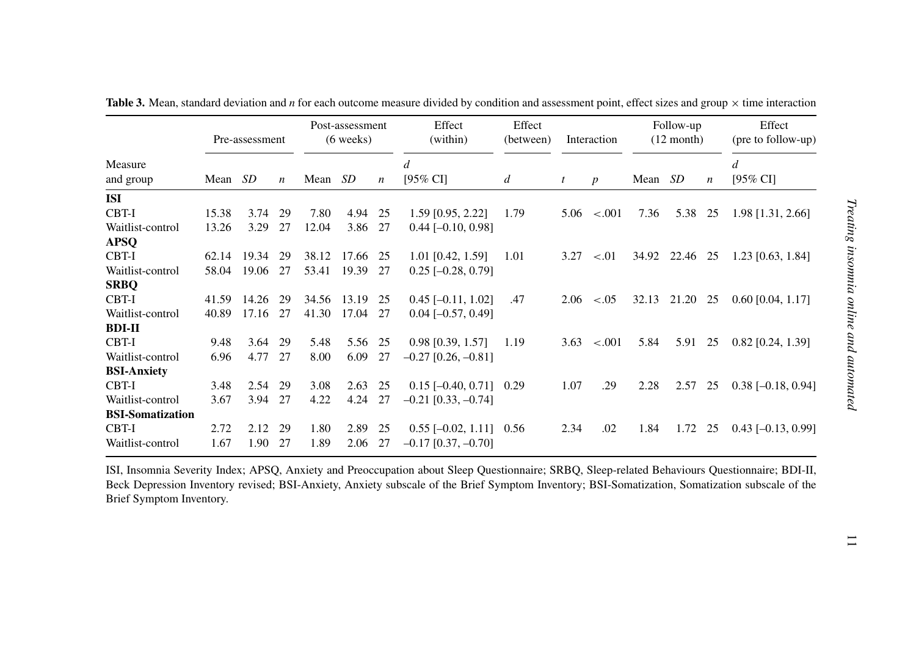|                         |         | Pre-assessment |                  |       | Post-assessment<br>$(6 \text{ weeks})$ |                  | Effect<br>(within)       | Effect<br>(between) |      | Interaction      |         | Follow-up<br>$(12$ month) |                  | Effect<br>(pre to follow-up) |
|-------------------------|---------|----------------|------------------|-------|----------------------------------------|------------------|--------------------------|---------------------|------|------------------|---------|---------------------------|------------------|------------------------------|
| Measure                 |         |                |                  |       |                                        |                  | d                        |                     |      |                  |         |                           |                  | d                            |
| and group               | Mean SD |                | $\boldsymbol{n}$ | Mean  | SD                                     | $\boldsymbol{n}$ | [95% CI]                 | d                   | t    | $\boldsymbol{p}$ | Mean SD |                           | $\boldsymbol{n}$ | $[95\% \text{ CI}]$          |
| <b>ISI</b>              |         |                |                  |       |                                        |                  |                          |                     |      |                  |         |                           |                  |                              |
| CBT-I                   | 15.38   | 3.74           | 29               | 7.80  | 4.94                                   | 25               | $1.59$ [0.95, 2.22]      | 1.79                | 5.06 | $-.001$          | 7.36    | 5.38                      | 25               | 1.98 [1.31, 2.66]            |
| Waitlist-control        | 13.26   | 3.29           | 27               | 12.04 | 3.86                                   | 27               | $0.44$ [-0.10, 0.98]     |                     |      |                  |         |                           |                  |                              |
| <b>APSQ</b>             |         |                |                  |       |                                        |                  |                          |                     |      |                  |         |                           |                  |                              |
| CBT-I                   | 62.14   | 19.34          | 29               | 38.12 | 17.66                                  | 25               | $1.01$ [0.42, 1.59]      | 1.01                | 3.27 | < 0.01           | 34.92   | 22.46                     | 25               | $1.23$ [0.63, 1.84]          |
| Waitlist-control        | 58.04   | 19.06          | 27               | 53.41 | 19.39                                  | 27               | $0.25$ [-0.28, 0.79]     |                     |      |                  |         |                           |                  |                              |
| <b>SRBO</b>             |         |                |                  |       |                                        |                  |                          |                     |      |                  |         |                           |                  |                              |
| CBT-I                   | 41.59   | 14.26          | 29               | 34.56 | 13.19                                  | 25               | $0.45$ [-0.11, 1.02]     | .47                 | 2.06 | $-.05$           | 32.13   | 21.20                     | 25               | $0.60$ [0.04, 1.17]          |
| Waitlist-control        | 40.89   | 17.16          | 27               | 41.30 | 17.04                                  | 27               | $0.04$ [-0.57, 0.49]     |                     |      |                  |         |                           |                  |                              |
| <b>BDI-II</b>           |         |                |                  |       |                                        |                  |                          |                     |      |                  |         |                           |                  |                              |
| CBT-I                   | 9.48    | 3.64           | 29               | 5.48  | 5.56                                   | 25               | 0.98 [0.39, 1.57]        | 1.19                | 3.63 | $-.001$          | 5.84    | 5.91                      | 25               | $0.82$ [0.24, 1.39]          |
| Waitlist-control        | 6.96    | 4.77           | 27               | 8.00  | 6.09                                   | 27               | $-0.27$ [0.26, $-0.81$ ] |                     |      |                  |         |                           |                  |                              |
| <b>BSI-Anxiety</b>      |         |                |                  |       |                                        |                  |                          |                     |      |                  |         |                           |                  |                              |
| CBT-I                   | 3.48    | 2.54           | 29               | 3.08  | 2.63                                   | 25               | $0.15$ [-0.40, 0.71]     | 0.29                | 1.07 | .29              | 2.28    | 2.57                      | 25               | $0.38$ [-0.18, 0.94]         |
| Waitlist-control        | 3.67    | 3.94 27        |                  | 4.22  | 4.24                                   | 27               | $-0.21$ [0.33, $-0.74$ ] |                     |      |                  |         |                           |                  |                              |
| <b>BSI-Somatization</b> |         |                |                  |       |                                        |                  |                          |                     |      |                  |         |                           |                  |                              |
| CBT-I                   | 2.72    | 2.12           | 29               | 1.80  | 2.89                                   | 25               | $0.55$ [-0.02, 1.11]     | 0.56                | 2.34 | .02              | 1.84    | 1.72                      | 25               | $0.43$ [-0.13, 0.99]         |
| Waitlist-control        | 1.67    | 1.90           | 27               | 1.89  | 2.06                                   | 27               | $-0.17$ [0.37, $-0.70$ ] |                     |      |                  |         |                           |                  |                              |

**Table 3.** Mean, standard deviation and *n* for each outcome measure divided by condition and assessment point, effect sizes and group  $\times$  time interaction

ISI, Insomnia Severity Index; APSQ, Anxiety and Preoccupation about Sleep Questionnaire; SRBQ, Sleep-related Behaviours Questionnaire; BDI-II, Beck Depression Inventory revised; BSI-Anxiety, Anxiety subscale of the Brief Symptom Inventory; BSI-Somatization, Somatization subscale of the Brief Symptom Inventory.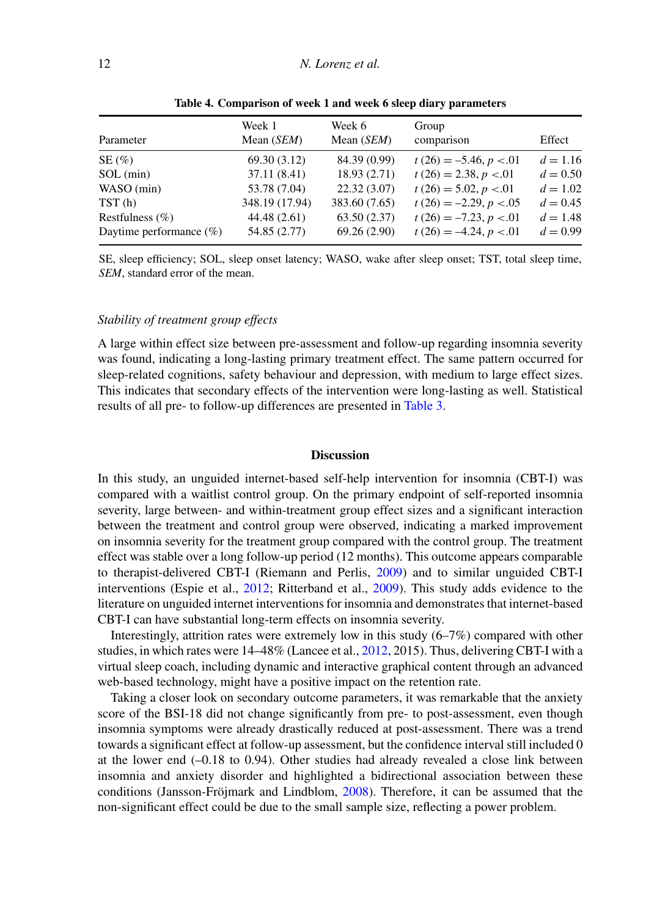| Parameter                  | Week 1<br>Mean $(SEM)$ | Week 6<br>Mean $(SEM)$ | Group<br>comparison       | Effect     |
|----------------------------|------------------------|------------------------|---------------------------|------------|
| SE(%)                      | 69.30 (3.12)           | 84.39 (0.99)           | $t(26) = -5.46, p < 0.01$ | $d = 1.16$ |
| $SOL$ (min)                | 37.11 (8.41)           | 18.93 (2.71)           | $t(26) = 2.38, p < 0.01$  | $d = 0.50$ |
| WASO (min)                 | 53.78 (7.04)           | 22.32(3.07)            | $t(26) = 5.02, p < 0.01$  | $d = 1.02$ |
| TST(h)                     | 348.19 (17.94)         | 383.60 (7.65)          | $t(26) = -2.29, p < 0.05$ | $d = 0.45$ |
| Restfulness $(\% )$        | 44.48 (2.61)           | 63.50(2.37)            | $t(26) = -7.23, p < 0.01$ | $d = 1.48$ |
| Daytime performance $(\%)$ | 54.85 (2.77)           | 69.26(2.90)            | $t(26) = -4.24, p < 0.01$ | $d = 0.99$ |
|                            |                        |                        |                           |            |

**Table 4. Comparison of week 1 and week 6 sleep diary parameters**

SE, sleep efficiency; SOL, sleep onset latency; WASO, wake after sleep onset; TST, total sleep time, *SEM*, standard error of the mean.

## *Stability of treatment group effects*

A large within effect size between pre-assessment and follow-up regarding insomnia severity was found, indicating a long-lasting primary treatment effect. The same pattern occurred for sleep-related cognitions, safety behaviour and depression, with medium to large effect sizes. This indicates that secondary effects of the intervention were long-lasting as well. Statistical results of all pre- to follow-up differences are presented in Table 3.

## **Discussion**

In this study, an unguided internet-based self-help intervention for insomnia (CBT-I) was compared with a waitlist control group. On the primary endpoint of self-reported insomnia severity, large between- and within-treatment group effect sizes and a significant interaction between the treatment and control group were observed, indicating a marked improvement on insomnia severity for the treatment group compared with the control group. The treatment effect was stable over a long follow-up period (12 months). This outcome appears comparable to therapist-delivered CBT-I (Riemann and Perlis, 2009) and to similar unguided CBT-I interventions (Espie et al., 2012; Ritterband et al., 2009). This study adds evidence to the literature on unguided internet interventions for insomnia and demonstrates that internet-based CBT-I can have substantial long-term effects on insomnia severity.

Interestingly, attrition rates were extremely low in this study (6–7%) compared with other studies, in which rates were 14–48% (Lancee et al., 2012, 2015). Thus, delivering CBT-I with a virtual sleep coach, including dynamic and interactive graphical content through an advanced web-based technology, might have a positive impact on the retention rate.

Taking a closer look on secondary outcome parameters, it was remarkable that the anxiety score of the BSI-18 did not change significantly from pre- to post-assessment, even though insomnia symptoms were already drastically reduced at post-assessment. There was a trend towards a significant effect at follow-up assessment, but the confidence interval still included 0 at the lower end (–0.18 to 0.94). Other studies had already revealed a close link between insomnia and anxiety disorder and highlighted a bidirectional association between these conditions (Jansson-Fröjmark and Lindblom, 2008). Therefore, it can be assumed that the non-significant effect could be due to the small sample size, reflecting a power problem.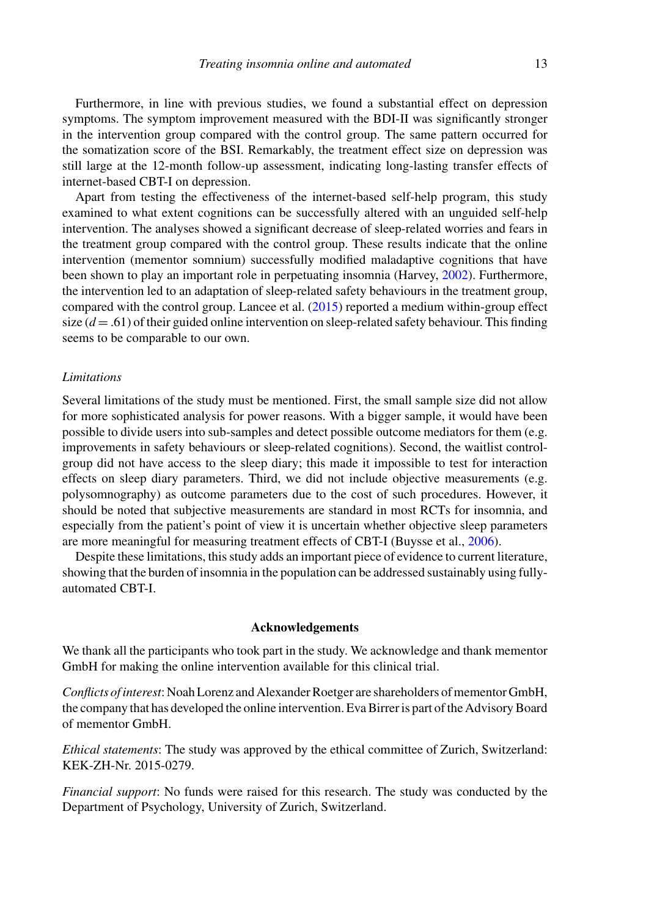Furthermore, in line with previous studies, we found a substantial effect on depression symptoms. The symptom improvement measured with the BDI-II was significantly stronger in the intervention group compared with the control group. The same pattern occurred for the somatization score of the BSI. Remarkably, the treatment effect size on depression was still large at the 12-month follow-up assessment, indicating long-lasting transfer effects of internet-based CBT-I on depression.

Apart from testing the effectiveness of the internet-based self-help program, this study examined to what extent cognitions can be successfully altered with an unguided self-help intervention. The analyses showed a significant decrease of sleep-related worries and fears in the treatment group compared with the control group. These results indicate that the online intervention (mementor somnium) successfully modified maladaptive cognitions that have been shown to play an important role in perpetuating insomnia (Harvey, 2002). Furthermore, the intervention led to an adaptation of sleep-related safety behaviours in the treatment group, compared with the control group. Lancee et al. (2015) reported a medium within-group effect size  $(d = .61)$  of their guided online intervention on sleep-related safety behaviour. This finding seems to be comparable to our own.

## *Limitations*

Several limitations of the study must be mentioned. First, the small sample size did not allow for more sophisticated analysis for power reasons. With a bigger sample, it would have been possible to divide users into sub-samples and detect possible outcome mediators for them (e.g. improvements in safety behaviours or sleep-related cognitions). Second, the waitlist controlgroup did not have access to the sleep diary; this made it impossible to test for interaction effects on sleep diary parameters. Third, we did not include objective measurements (e.g. polysomnography) as outcome parameters due to the cost of such procedures. However, it should be noted that subjective measurements are standard in most RCTs for insomnia, and especially from the patient's point of view it is uncertain whether objective sleep parameters are more meaningful for measuring treatment effects of CBT-I (Buysse et al., 2006).

Despite these limitations, this study adds an important piece of evidence to current literature, showing that the burden of insomnia in the population can be addressed sustainably using fullyautomated CBT-I.

#### **Acknowledgements**

We thank all the participants who took part in the study. We acknowledge and thank mementor GmbH for making the online intervention available for this clinical trial.

*Conflicts of interest*: Noah Lorenz and Alexander Roetger are shareholders of mementor GmbH, the company that has developed the online intervention. Eva Birrer is part of the Advisory Board of mementor GmbH.

*Ethical statements*: The study was approved by the ethical committee of Zurich, Switzerland: KEK-ZH-Nr. 2015-0279.

*Financial support*: No funds were raised for this research. The study was conducted by the Department of Psychology, University of Zurich, Switzerland.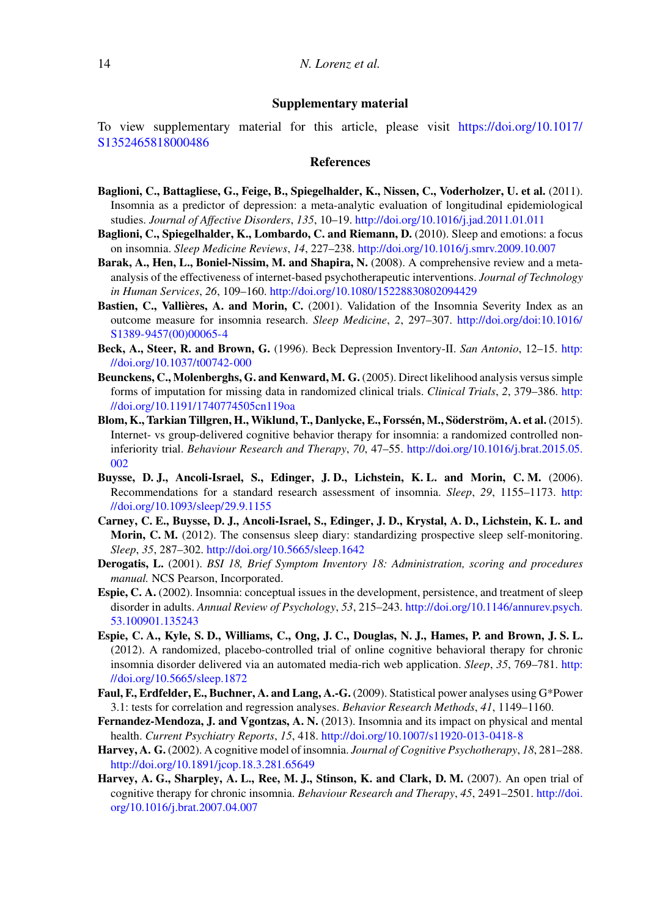## **Supplementary material**

To view supplementary material for this article, please visit https://doi.org/10.1017/ S1352465818000486

## **References**

- **Baglioni, C., Battagliese, G., Feige, B., Spiegelhalder, K., Nissen, C., Voderholzer, U. et al.** (2011). Insomnia as a predictor of depression: a meta-analytic evaluation of longitudinal epidemiological studies. *Journal of Affective Disorders*, *135*, 10–19. http://doi.org/10.1016/j.jad.2011.01.011
- **Baglioni, C., Spiegelhalder, K., Lombardo, C. and Riemann, D.** (2010). Sleep and emotions: a focus on insomnia. *Sleep Medicine Reviews*, *14*, 227–238. http://doi.org/10.1016/j.smrv.2009.10.007
- **Barak, A., Hen, L., Boniel-Nissim, M. and Shapira, N.** (2008). A comprehensive review and a metaanalysis of the effectiveness of internet-based psychotherapeutic interventions. *Journal of Technology in Human Services*, *26*, 109–160. http://doi.org/10.1080/15228830802094429
- **Bastien, C., Vallières, A. and Morin, C.** (2001). Validation of the Insomnia Severity Index as an outcome measure for insomnia research. *Sleep Medicine*, *2*, 297–307. http://doi.org/doi:10.1016/ S1389-9457(00)00065-4
- **Beck, A., Steer, R. and Brown, G.** (1996). Beck Depression Inventory-II. *San Antonio*, 12–15. http: //doi.org/10.1037/t00742-000
- **Beunckens, C., Molenberghs, G. and Kenward, M. G.** (2005). Direct likelihood analysis versus simple forms of imputation for missing data in randomized clinical trials. *Clinical Trials*, *2*, 379–386. http: //doi.org/10.1191/1740774505cn119oa
- **Blom, K., Tarkian Tillgren, H., Wiklund, T., Danlycke, E., Forssén, M., Söderström, A. et al.** (2015). Internet- vs group-delivered cognitive behavior therapy for insomnia: a randomized controlled noninferiority trial. *Behaviour Research and Therapy*, *70*, 47–55. http://doi.org/10.1016/j.brat.2015.05. 002
- **Buysse, D. J., Ancoli-Israel, S., Edinger, J. D., Lichstein, K. L. and Morin, C. M.** (2006). Recommendations for a standard research assessment of insomnia. *Sleep*, *29*, 1155–1173. http: //doi.org/10.1093/sleep/29.9.1155
- **Carney, C. E., Buysse, D. J., Ancoli-Israel, S., Edinger, J. D., Krystal, A. D., Lichstein, K. L. and Morin, C. M.** (2012). The consensus sleep diary: standardizing prospective sleep self-monitoring. *Sleep*, *35*, 287–302. http://doi.org/10.5665/sleep.1642
- **Derogatis, L.** (2001). *BSI 18, Brief Symptom Inventory 18: Administration, scoring and procedures manual.* NCS Pearson, Incorporated.
- **Espie, C. A.** (2002). Insomnia: conceptual issues in the development, persistence, and treatment of sleep disorder in adults. *Annual Review of Psychology*, *53*, 215–243. http://doi.org/10.1146/annurev.psych. 53.100901.135243
- **Espie, C. A., Kyle, S. D., Williams, C., Ong, J. C., Douglas, N. J., Hames, P. and Brown, J. S. L.** (2012). A randomized, placebo-controlled trial of online cognitive behavioral therapy for chronic insomnia disorder delivered via an automated media-rich web application. *Sleep*, *35*, 769–781. http: //doi.org/10.5665/sleep.1872
- **Faul, F., Erdfelder, E., Buchner, A. and Lang, A.-G.** (2009). Statistical power analyses using G\*Power 3.1: tests for correlation and regression analyses. *Behavior Research Methods*, *41*, 1149–1160.
- **Fernandez-Mendoza, J. and Vgontzas, A. N.** (2013). Insomnia and its impact on physical and mental health. *Current Psychiatry Reports*, *15*, 418. http://doi.org/10.1007/s11920-013-0418-8
- **Harvey, A. G.** (2002). A cognitive model of insomnia. *Journal of Cognitive Psychotherapy*, *18*, 281–288. http://doi.org/10.1891/jcop.18.3.281.65649
- **Harvey, A. G., Sharpley, A. L., Ree, M. J., Stinson, K. and Clark, D. M.** (2007). An open trial of cognitive therapy for chronic insomnia. *Behaviour Research and Therapy*, *45*, 2491–2501. http://doi. org/10.1016/j.brat.2007.04.007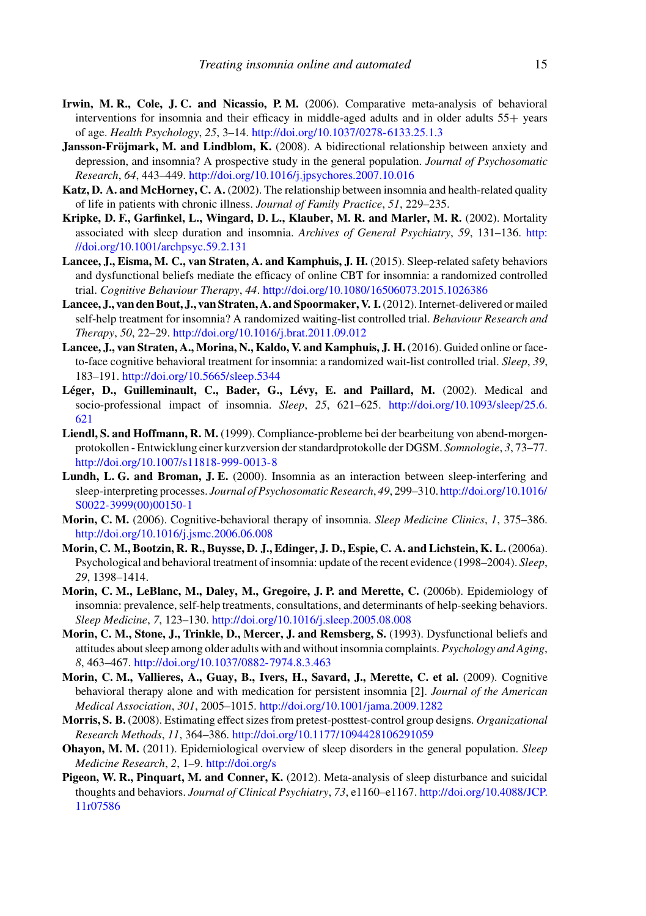- **Irwin, M. R., Cole, J. C. and Nicassio, P. M.** (2006). Comparative meta-analysis of behavioral interventions for insomnia and their efficacy in middle-aged adults and in older adults 55+ years of age. *Health Psychology*, *25*, 3–14. http://doi.org/10.1037/0278-6133.25.1.3
- **Jansson-Fröjmark, M. and Lindblom, K.** (2008). A bidirectional relationship between anxiety and depression, and insomnia? A prospective study in the general population. *Journal of Psychosomatic Research*, *64*, 443–449. http://doi.org/10.1016/j.jpsychores.2007.10.016
- **Katz, D. A. and McHorney, C. A.** (2002). The relationship between insomnia and health-related quality of life in patients with chronic illness. *Journal of Family Practice*, *51*, 229–235.
- **Kripke, D. F., Garfinkel, L., Wingard, D. L., Klauber, M. R. and Marler, M. R.** (2002). Mortality associated with sleep duration and insomnia. *Archives of General Psychiatry*, *59*, 131–136. http: //doi.org/10.1001/archpsyc.59.2.131
- **Lancee, J., Eisma, M. C., van Straten, A. and Kamphuis, J. H.** (2015). Sleep-related safety behaviors and dysfunctional beliefs mediate the efficacy of online CBT for insomnia: a randomized controlled trial. *Cognitive Behaviour Therapy*, *44*. http://doi.org/10.1080/16506073.2015.1026386
- **Lancee, J., van den Bout, J., van Straten, A. and Spoormaker, V. I.**(2012). Internet-delivered or mailed self-help treatment for insomnia? A randomized waiting-list controlled trial. *Behaviour Research and Therapy*, *50*, 22–29. http://doi.org/10.1016/j.brat.2011.09.012
- **Lancee, J., van Straten, A., Morina, N., Kaldo, V. and Kamphuis, J. H.** (2016). Guided online or faceto-face cognitive behavioral treatment for insomnia: a randomized wait-list controlled trial. *Sleep*, *39*, 183–191. http://doi.org/10.5665/sleep.5344
- **Léger, D., Guilleminault, C., Bader, G., Lévy, E. and Paillard, M.** (2002). Medical and socio-professional impact of insomnia. *Sleep*, *25*, 621–625. http://doi.org/10.1093/sleep/25.6. 621
- **Liendl, S. and Hoffmann, R. M.** (1999). Compliance-probleme bei der bearbeitung von abend-morgenprotokollen - Entwicklung einer kurzversion der standardprotokolle der DGSM. *Somnologie*, *3*, 73–77. http://doi.org/10.1007/s11818-999-0013-8
- **Lundh, L. G. and Broman, J. E.** (2000). Insomnia as an interaction between sleep-interfering and sleep-interpreting processes. *Journal of Psychosomatic Research*, *49*, 299–310. http://doi.org/10.1016/ S0022-3999(00)00150-1
- **Morin, C. M.** (2006). Cognitive-behavioral therapy of insomnia. *Sleep Medicine Clinics*, *1*, 375–386. http://doi.org/10.1016/j.jsmc.2006.06.008
- **Morin, C. M., Bootzin, R. R., Buysse, D. J., Edinger, J. D., Espie, C. A. and Lichstein, K. L.** (2006a). Psychological and behavioral treatment of insomnia: update of the recent evidence (1998–2004). *Sleep*, *29*, 1398–1414.
- **Morin, C. M., LeBlanc, M., Daley, M., Gregoire, J. P. and Merette, C.** (2006b). Epidemiology of insomnia: prevalence, self-help treatments, consultations, and determinants of help-seeking behaviors. *Sleep Medicine*, *7*, 123–130. http://doi.org/10.1016/j.sleep.2005.08.008
- **Morin, C. M., Stone, J., Trinkle, D., Mercer, J. and Remsberg, S.** (1993). Dysfunctional beliefs and attitudes about sleep among older adults with and without insomnia complaints. *Psychology and Aging*, *8*, 463–467. http://doi.org/10.1037/0882-7974.8.3.463
- **Morin, C. M., Vallieres, A., Guay, B., Ivers, H., Savard, J., Merette, C. et al.** (2009). Cognitive behavioral therapy alone and with medication for persistent insomnia [2]. *Journal of the American Medical Association*, *301*, 2005–1015. http://doi.org/10.1001/jama.2009.1282
- **Morris, S. B.** (2008). Estimating effect sizes from pretest-posttest-control group designs. *Organizational Research Methods*, *11*, 364–386. http://doi.org/10.1177/1094428106291059
- **Ohayon, M. M.** (2011). Epidemiological overview of sleep disorders in the general population. *Sleep Medicine Research*, *2*, 1–9. http://doi.org/s
- **Pigeon, W. R., Pinquart, M. and Conner, K.** (2012). Meta-analysis of sleep disturbance and suicidal thoughts and behaviors. *Journal of Clinical Psychiatry*, *73*, e1160–e1167. http://doi.org/10.4088/JCP. 11r07586